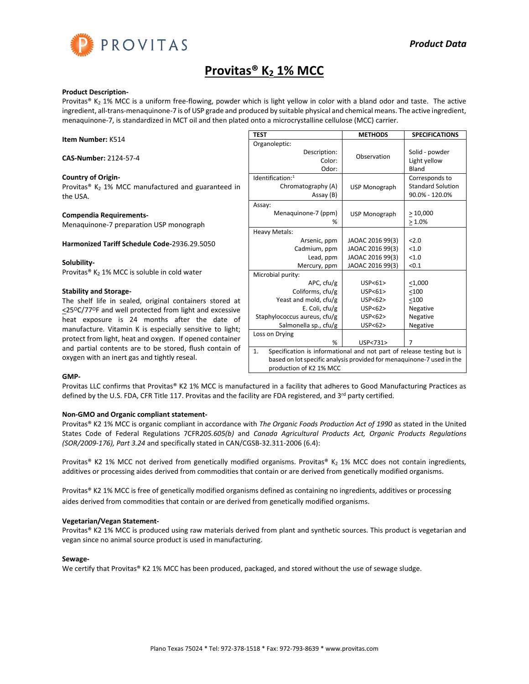

# **Provitas® K<sup>2</sup> 1% MCC**

#### **Product Description-**

Provitas® K<sub>2</sub> 1% MCC is a uniform free-flowing, powder which is light yellow in color with a bland odor and taste. The active ingredient, all-trans-menaquinone-7 is of USP grade and produced by suitable physical and chemical means. The active ingredient, menaquinone-7, is standardized in MCT oil and then plated onto a microcrystalline cellulose (MCC) carrier.

|                                                                                                                                                                                                   | <b>TEST</b>                                                                                                                                                                                 | <b>METHODS</b>                               | <b>SPECIFICATIONS</b>                      |
|---------------------------------------------------------------------------------------------------------------------------------------------------------------------------------------------------|---------------------------------------------------------------------------------------------------------------------------------------------------------------------------------------------|----------------------------------------------|--------------------------------------------|
| <b>Item Number: K514</b>                                                                                                                                                                          | Organoleptic:                                                                                                                                                                               |                                              |                                            |
| CAS-Number: 2124-57-4                                                                                                                                                                             | Description:<br>Color:<br>Odor:                                                                                                                                                             | Observation                                  | Solid - powder<br>Light yellow<br>Bland    |
| <b>Country of Origin-</b>                                                                                                                                                                         | Identification:1                                                                                                                                                                            |                                              | Corresponds to                             |
| Provitas <sup>®</sup> $K_2$ 1% MCC manufactured and guaranteed in<br>the USA.                                                                                                                     | Chromatography (A)<br>Assay (B)                                                                                                                                                             | <b>USP Monograph</b>                         | <b>Standard Solution</b><br>90.0% - 120.0% |
| <b>Compendia Requirements-</b><br>Menaguinone-7 preparation USP monograph                                                                                                                         | Assay:<br>Menaguinone-7 (ppm)<br>℅                                                                                                                                                          | USP Monograph                                | >10,000<br>$>1.0\%$                        |
|                                                                                                                                                                                                   | <b>Heavy Metals:</b>                                                                                                                                                                        |                                              |                                            |
| <b>Harmonized Tariff Schedule Code-2936.29.5050</b>                                                                                                                                               | Arsenic, ppm<br>Cadmium, ppm                                                                                                                                                                | JAOAC 2016 99(3)<br>JAOAC 2016 99(3)         | 2.0<br>< 1.0                               |
| Solubility-                                                                                                                                                                                       | Lead, ppm<br>Mercury, ppm                                                                                                                                                                   | JAOAC 2016 99(3)<br>JAOAC 2016 99(3)         | < 1.0<br>< 0.1                             |
| Provitas® K <sub>2</sub> 1% MCC is soluble in cold water                                                                                                                                          | Microbial purity:<br>APC, cfu/g                                                                                                                                                             | USP < 61                                     | $\leq 1,000$                               |
| <b>Stability and Storage-</b>                                                                                                                                                                     | Coliforms, cfu/g                                                                                                                                                                            | USP < 61                                     | < 100                                      |
| The shelf life in sealed, original containers stored at<br>$\leq$ 25 <sup>o</sup> C/77 <sup>o</sup> F and well protected from light and excessive<br>heat exposure is 24 months after the date of | Yeast and mold, cfu/g<br>E. Coli, cfu/g<br>Staphylococcus aureus, cfu/g<br>Salmonella sp., cfu/g                                                                                            | USP < 62<br>USP < 62<br>USP < 62<br>USP < 62 | < 100<br>Negative<br>Negative<br>Negative  |
| manufacture. Vitamin K is especially sensitive to light;<br>protect from light, heat and oxygen. If opened container                                                                              | Loss on Drying<br>%                                                                                                                                                                         | USP<731>                                     | $\overline{7}$                             |
| and partial contents are to be stored, flush contain of<br>oxygen with an inert gas and tightly reseal.                                                                                           | $\mathbf{1}$ .<br>Specification is informational and not part of release testing but is<br>based on lot specific analysis provided for menaguinone-7 used in the<br>production of K2 1% MCC |                                              |                                            |

#### **GMP-**

Provitas LLC confirms that Provitas® K2 1% MCC is manufactured in a facility that adheres to Good Manufacturing Practices as defined by the U.S. FDA, CFR Title 117. Provitas and the facility are FDA registered, and 3rd party certified.

## **Non-GMO and Organic compliant statement-**

Provitas® K2 1% MCC is organic compliant in accordance with *The Organic Foods Production Act of 1990* as stated in the United States Code of Federal Regulations 7CFR*205.605(b)* and *Canada Agricultural Products Act, Organic Products Regulations (SOR/2009-176), Part 3.24* and specifically stated in CAN/CGSB-32.311-2006 (6.4):

Provitas® K2 1% MCC not derived from genetically modified organisms. Provitas® K<sub>2</sub> 1% MCC does not contain ingredients, additives or processing aides derived from commodities that contain or are derived from genetically modified organisms.

Provitas® K2 1% MCC is free of genetically modified organisms defined as containing no ingredients, additives or processing aides derived from commodities that contain or are derived from genetically modified organisms.

## **Vegetarian/Vegan Statement-**

Provitas® K2 1% MCC is produced using raw materials derived from plant and synthetic sources. This product is vegetarian and vegan since no animal source product is used in manufacturing.

# **Sewage-**

We certify that Provitas® K2 1% MCC has been produced, packaged, and stored without the use of sewage sludge.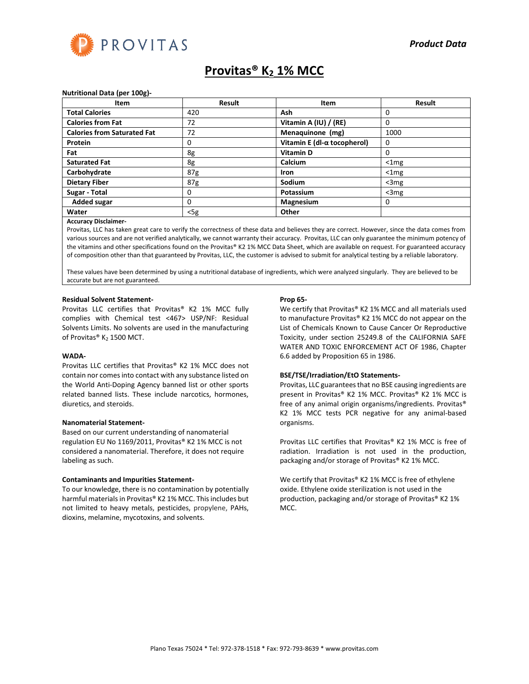

# **Provitas® K<sup>2</sup> 1% MCC**

#### **Nutritional Data (per 100g)-**

| Item                               | <b>Result</b>   | Item                                | <b>Result</b> |
|------------------------------------|-----------------|-------------------------------------|---------------|
| <b>Total Calories</b>              | 420             | Ash                                 | 0             |
| <b>Calories from Fat</b>           | 72              | Vitamin A (IU) / (RE)               | 0             |
| <b>Calories from Saturated Fat</b> | 72              | Menaquinone (mg)                    | 1000          |
| Protein                            | 0               | Vitamin E (dl- $\alpha$ tocopherol) | $\Omega$      |
| Fat                                | 8g              | <b>Vitamin D</b>                    | 0             |
| <b>Saturated Fat</b>               | 8g              | Calcium                             | $<$ 1 $mg$    |
| Carbohydrate                       | 87 <sub>g</sub> | <b>Iron</b>                         | $<$ 1 $mg$    |
| <b>Dietary Fiber</b>               | 87g             | Sodium                              | $<$ 3 $mg$    |
| Sugar - Total                      | 0               | Potassium                           | $<$ 3 $mg$    |
| <b>Added sugar</b>                 | 0               | <b>Magnesium</b>                    | 0             |
| Water                              | $<$ 5g          | Other                               |               |

#### **Accuracy Disclaimer-**

Provitas, LLC has taken great care to verify the correctness of these data and believes they are correct. However, since the data comes from various sources and are not verified analytically, we cannot warranty their accuracy. Provitas, LLC can only guarantee the minimum potency of the vitamins and other specifications found on the Provitas® K2 1% MCC Data Sheet, which are available on request. For guaranteed accuracy of composition other than that guaranteed by Provitas, LLC, the customer is advised to submit for analytical testing by a reliable laboratory.

These values have been determined by using a nutritional database of ingredients, which were analyzed singularly. They are believed to be accurate but are not guaranteed.

#### **Residual Solvent Statement-**

Provitas LLC certifies that Provitas® K2 1% MCC fully complies with Chemical test <467> USP/NF: Residual Solvents Limits. No solvents are used in the manufacturing of Provitas® K<sub>2</sub> 1500 MCT.

#### **WADA-**

Provitas LLC certifies that Provitas® K2 1% MCC does not contain nor comes into contact with any substance listed on the World Anti-Doping Agency banned list or other sports related banned lists. These include narcotics, hormones, diuretics, and steroids.

#### **Nanomaterial Statement-**

Based on our current understanding of nanomaterial regulation EU No 1169/2011, Provitas® K2 1% MCC is not considered a nanomaterial. Therefore, it does not require labeling as such.

#### **Contaminants and Impurities Statement-**

To our knowledge, there is no contamination by potentially harmful materials in Provitas® K2 1% MCC. This includes but not limited to heavy metals, pesticides, propylene, PAHs, dioxins, melamine, mycotoxins, and solvents.

#### **Prop 65-**

We certify that Provitas® K2 1% MCC and all materials used to manufacture Provitas® K2 1% MCC do not appear on the List of Chemicals Known to Cause Cancer Or Reproductive Toxicity, under section 25249.8 of the CALIFORNIA SAFE WATER AND TOXIC ENFORCEMENT ACT OF 1986, Chapter 6.6 added by Proposition 65 in 1986.

## **BSE/TSE/Irradiation/EtO Statements-**

Provitas, LLC guarantees that no BSE causing ingredients are present in Provitas® K2 1% MCC. Provitas® K2 1% MCC is free of any animal origin organisms/ingredients. Provitas® K2 1% MCC tests PCR negative for any animal-based organisms.

Provitas LLC certifies that Provitas® K2 1% MCC is free of radiation. Irradiation is not used in the production, packaging and/or storage of Provitas® K2 1% MCC.

We certify that Provitas® K2 1% MCC is free of ethylene oxide. Ethylene oxide sterilization is not used in the production, packaging and/or storage of Provitas® K2 1% MCC.